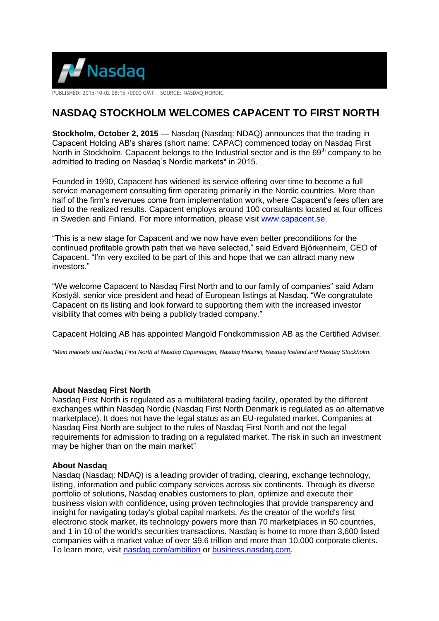

PUBLISHED: 2015-10-02 08:15 +0000 GMT | SOURCE: NASDAQ NORDIC

## **NASDAQ STOCKHOLM WELCOMES CAPACENT TO FIRST NORTH**

**Stockholm, October 2, 2015** — Nasdaq (Nasdaq: NDAQ) announces that the trading in Capacent Holding AB's shares (short name: CAPAC) commenced today on Nasdaq First North in Stockholm. Capacent belongs to the Industrial sector and is the  $69<sup>th</sup>$  company to be admitted to trading on Nasdaq's Nordic markets\* in 2015.

Founded in 1990, Capacent has widened its service offering over time to become a full service management consulting firm operating primarily in the Nordic countries. More than half of the firm's revenues come from implementation work, where Capacent's fees often are tied to the realized results. Capacent employs around 100 consultants located at four offices in Sweden and Finland. For more information, please visit [www.capacent.se.](http://www.capacent.se/)

"This is a new stage for Capacent and we now have even better preconditions for the continued profitable growth path that we have selected," said Edvard Björkenheim, CEO of Capacent. "I'm very excited to be part of this and hope that we can attract many new investors."

"We welcome Capacent to Nasdaq First North and to our family of companies" said Adam Kostyál, senior vice president and head of European listings at Nasdaq. "We congratulate Capacent on its listing and look forward to supporting them with the increased investor visibility that comes with being a publicly traded company."

Capacent Holding AB has appointed Mangold Fondkommission AB as the Certified Adviser.

*\*Main markets and Nasdaq First North at Nasdaq Copenhagen, Nasdaq Helsinki, Nasdaq Iceland and Nasdaq Stockholm.*

## **About Nasdaq First North**

Nasdaq First North is regulated as a multilateral trading facility, operated by the different exchanges within Nasdaq Nordic (Nasdaq First North Denmark is regulated as an alternative marketplace). It does not have the legal status as an EU-regulated market. Companies at Nasdaq First North are subject to the rules of Nasdaq First North and not the legal requirements for admission to trading on a regulated market. The risk in such an investment may be higher than on the main market"

## **About Nasdaq**

Nasdaq (Nasdaq: NDAQ) is a leading provider of trading, clearing, exchange technology, listing, information and public company services across six continents. Through its diverse portfolio of solutions, Nasdaq enables customers to plan, optimize and execute their business vision with confidence, using proven technologies that provide transparency and insight for navigating today's global capital markets. As the creator of the world's first electronic stock market, its technology powers more than 70 marketplaces in 50 countries, and 1 in 10 of the world's securities transactions. Nasdaq is home to more than 3,600 listed companies with a market value of over \$9.6 trillion and more than 10,000 corporate clients. To learn more, visit [nasdaq.com/ambition](file:///C:/Users/caor/AppData/Local/Microsoft/Windows/Temporary%20Internet%20Files/Content.Outlook/O54RFX4P/nasdaq.com/ambition) or [business.nasdaq.com.](http://www.business.nasdaq.com/)